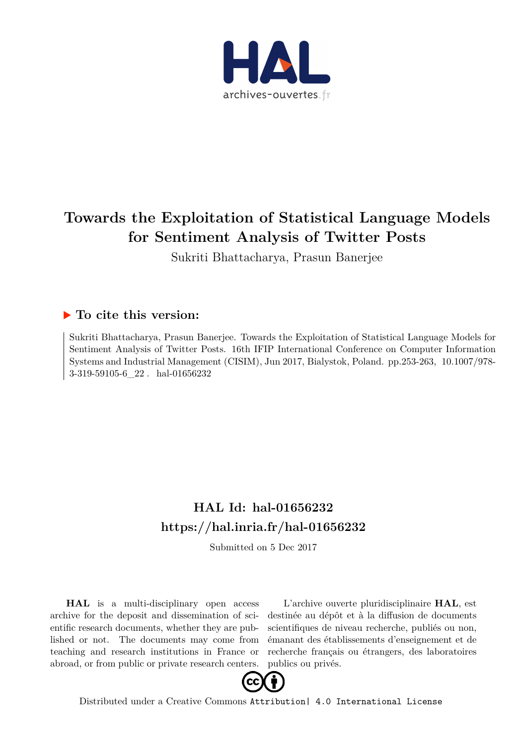

# **Towards the Exploitation of Statistical Language Models for Sentiment Analysis of Twitter Posts**

Sukriti Bhattacharya, Prasun Banerjee

# **To cite this version:**

Sukriti Bhattacharya, Prasun Banerjee. Towards the Exploitation of Statistical Language Models for Sentiment Analysis of Twitter Posts. 16th IFIP International Conference on Computer Information Systems and Industrial Management (CISIM), Jun 2017, Bialystok, Poland. pp.253-263, 10.1007/978- $3-319-59105-6$  22 hal-01656232

# **HAL Id: hal-01656232 <https://hal.inria.fr/hal-01656232>**

Submitted on 5 Dec 2017

**HAL** is a multi-disciplinary open access archive for the deposit and dissemination of scientific research documents, whether they are published or not. The documents may come from teaching and research institutions in France or abroad, or from public or private research centers.

L'archive ouverte pluridisciplinaire **HAL**, est destinée au dépôt et à la diffusion de documents scientifiques de niveau recherche, publiés ou non, émanant des établissements d'enseignement et de recherche français ou étrangers, des laboratoires publics ou privés.



Distributed under a Creative Commons [Attribution| 4.0 International License](http://creativecommons.org/licenses/by/4.0/)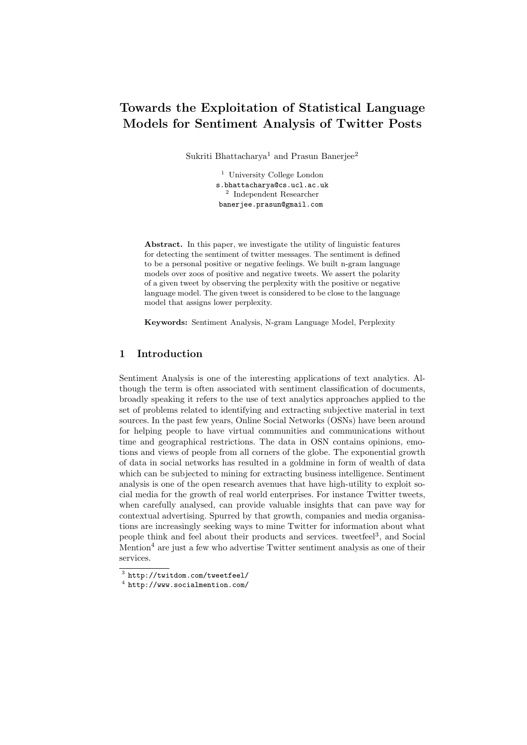# Towards the Exploitation of Statistical Language Models for Sentiment Analysis of Twitter Posts

Sukriti Bhattacharya<sup>1</sup> and Prasun Banerjee<sup>2</sup>

<sup>1</sup> University College London s.bhattacharya@cs.ucl.ac.uk 2 Independent Researcher banerjee.prasun@gmail.com

Abstract. In this paper, we investigate the utility of linguistic features for detecting the sentiment of twitter messages. The sentiment is defined to be a personal positive or negative feelings. We built n-gram language models over zoos of positive and negative tweets. We assert the polarity of a given tweet by observing the perplexity with the positive or negative language model. The given tweet is considered to be close to the language model that assigns lower perplexity.

Keywords: Sentiment Analysis, N-gram Language Model, Perplexity

# 1 Introduction

Sentiment Analysis is one of the interesting applications of text analytics. Although the term is often associated with sentiment classification of documents, broadly speaking it refers to the use of text analytics approaches applied to the set of problems related to identifying and extracting subjective material in text sources. In the past few years, Online Social Networks (OSNs) have been around for helping people to have virtual communities and communications without time and geographical restrictions. The data in OSN contains opinions, emotions and views of people from all corners of the globe. The exponential growth of data in social networks has resulted in a goldmine in form of wealth of data which can be subjected to mining for extracting business intelligence. Sentiment analysis is one of the open research avenues that have high-utility to exploit social media for the growth of real world enterprises. For instance Twitter tweets, when carefully analysed, can provide valuable insights that can pave way for contextual advertising. Spurred by that growth, companies and media organisations are increasingly seeking ways to mine Twitter for information about what people think and feel about their products and services. tweetfeel<sup>3</sup>, and Social Mention<sup>4</sup> are just a few who advertise Twitter sentiment analysis as one of their services.

<sup>3</sup> http://twitdom.com/tweetfeel/

<sup>4</sup> http://www.socialmention.com/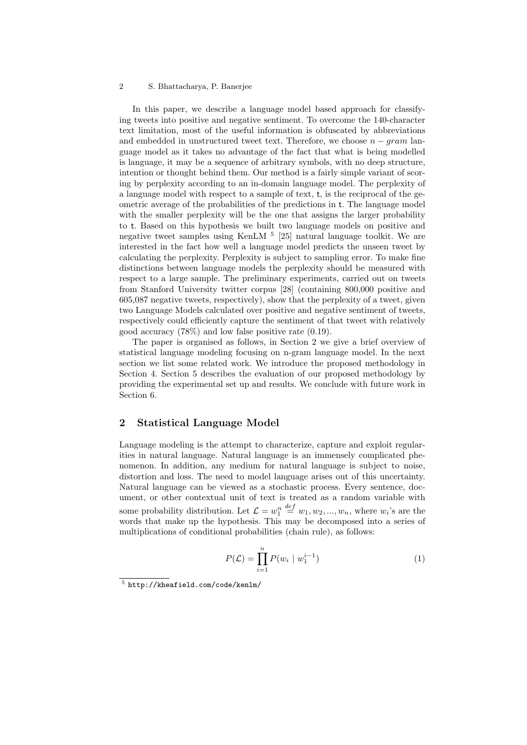#### 2 S. Bhattacharya, P. Banerjee

In this paper, we describe a language model based approach for classifying tweets into positive and negative sentiment. To overcome the 140-character text limitation, most of the useful information is obfuscated by abbreviations and embedded in unstructured tweet text. Therefore, we choose  $n - gram$  language model as it takes no advantage of the fact that what is being modelled is language, it may be a sequence of arbitrary symbols, with no deep structure, intention or thought behind them. Our method is a fairly simple variant of scoring by perplexity according to an in-domain language model. The perplexity of a language model with respect to a sample of text, t, is the reciprocal of the geometric average of the probabilities of the predictions in t. The language model with the smaller perplexity will be the one that assigns the larger probability to t. Based on this hypothesis we built two language models on positive and negative tweet samples using KenLM  $^5$  [25] natural language toolkit. We are interested in the fact how well a language model predicts the unseen tweet by calculating the perplexity. Perplexity is subject to sampling error. To make fine distinctions between language models the perplexity should be measured with respect to a large sample. The preliminary experiments, carried out on tweets from Stanford University twitter corpus [28] (containing 800,000 positive and 605,087 negative tweets, respectively), show that the perplexity of a tweet, given two Language Models calculated over positive and negative sentiment of tweets, respectively could efficiently capture the sentiment of that tweet with relatively good accuracy (78%) and low false positive rate (0.19).

The paper is organised as follows, in Section 2 we give a brief overview of statistical language modeling focusing on n-gram language model. In the next section we list some related work. We introduce the proposed methodology in Section 4. Section 5 describes the evaluation of our proposed methodology by providing the experimental set up and results. We conclude with future work in Section 6.

## 2 Statistical Language Model

Language modeling is the attempt to characterize, capture and exploit regularities in natural language. Natural language is an immensely complicated phenomenon. In addition, any medium for natural language is subject to noise, distortion and loss. The need to model language arises out of this uncertainty. Natural language can be viewed as a stochastic process. Every sentence, document, or other contextual unit of text is treated as a random variable with some probability distribution. Let  $\mathcal{L} = w_1^n$  $\stackrel{def}{=} w_1, w_2, ..., w_n$ , where  $w_i$ 's are the words that make up the hypothesis. This may be decomposed into a series of multiplications of conditional probabilities (chain rule), as follows:

$$
P(\mathcal{L}) = \prod_{i=1}^{n} P(w_i \mid w_1^{i-1})
$$
 (1)

<sup>5</sup> http://kheafield.com/code/kenlm/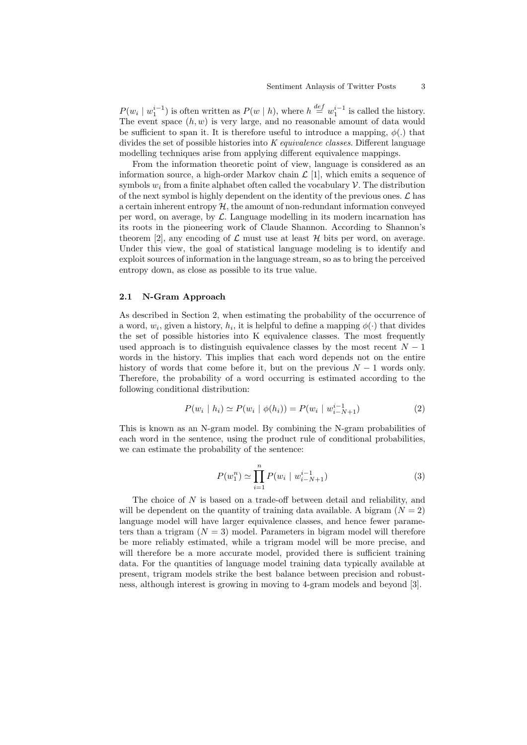$P(w_i \mid w_1^{i-1})$  is often written as  $P(w \mid h)$ , where  $h \stackrel{def}{=} w_1^{i-1}$  is called the history. The event space  $(h, w)$  is very large, and no reasonable amount of data would be sufficient to span it. It is therefore useful to introduce a mapping,  $\phi(.)$  that divides the set of possible histories into  $K$  *equivalence classes*. Different language modelling techniques arise from applying different equivalence mappings.

From the information theoretic point of view, language is considered as an information source, a high-order Markov chain  $\mathcal{L}$  [1], which emits a sequence of symbols  $w_i$  from a finite alphabet often called the vocabulary  $\mathcal V$ . The distribution of the next symbol is highly dependent on the identity of the previous ones.  $\mathcal{L}$  has a certain inherent entropy  $\mathcal{H}$ , the amount of non-redundant information conveyed per word, on average, by  $\mathcal{L}$ . Language modelling in its modern incarnation has its roots in the pioneering work of Claude Shannon. According to Shannon's theorem [2], any encoding of  $\mathcal L$  must use at least  $\mathcal H$  bits per word, on average. Under this view, the goal of statistical language modeling is to identify and exploit sources of information in the language stream, so as to bring the perceived entropy down, as close as possible to its true value.

#### 2.1 N-Gram Approach

As described in Section 2, when estimating the probability of the occurrence of a word,  $w_i$ , given a history,  $h_i$ , it is helpful to define a mapping  $\phi(\cdot)$  that divides the set of possible histories into K equivalence classes. The most frequently used approach is to distinguish equivalence classes by the most recent  $N-1$ words in the history. This implies that each word depends not on the entire history of words that come before it, but on the previous  $N-1$  words only. Therefore, the probability of a word occurring is estimated according to the following conditional distribution:

$$
P(w_i | h_i) \simeq P(w_i | \phi(h_i)) = P(w_i | w_{i-N+1}^{i-1})
$$
\n(2)

This is known as an N-gram model. By combining the N-gram probabilities of each word in the sentence, using the product rule of conditional probabilities, we can estimate the probability of the sentence:

$$
P(w_1^n) \simeq \prod_{i=1}^n P(w_i \mid w_{i-N+1}^{i-1})
$$
\n(3)

The choice of  $N$  is based on a trade-off between detail and reliability, and will be dependent on the quantity of training data available. A bigram  $(N = 2)$ language model will have larger equivalence classes, and hence fewer parameters than a trigram  $(N = 3)$  model. Parameters in bigram model will therefore be more reliably estimated, while a trigram model will be more precise, and will therefore be a more accurate model, provided there is sufficient training data. For the quantities of language model training data typically available at present, trigram models strike the best balance between precision and robustness, although interest is growing in moving to 4-gram models and beyond [3].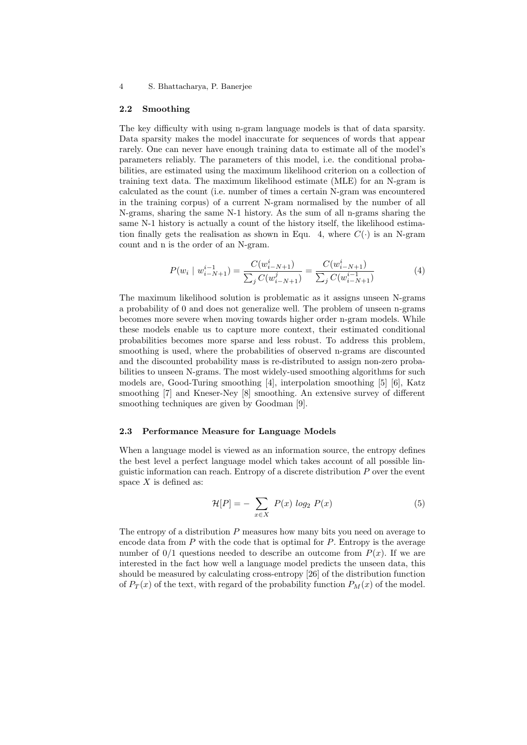#### 4 S. Bhattacharya, P. Banerjee

#### 2.2 Smoothing

The key difficulty with using n-gram language models is that of data sparsity. Data sparsity makes the model inaccurate for sequences of words that appear rarely. One can never have enough training data to estimate all of the model's parameters reliably. The parameters of this model, i.e. the conditional probabilities, are estimated using the maximum likelihood criterion on a collection of training text data. The maximum likelihood estimate (MLE) for an N-gram is calculated as the count (i.e. number of times a certain N-gram was encountered in the training corpus) of a current N-gram normalised by the number of all N-grams, sharing the same N-1 history. As the sum of all n-grams sharing the same N-1 history is actually a count of the history itself, the likelihood estimation finally gets the realisation as shown in Equ. 4, where  $C(\cdot)$  is an N-gram count and n is the order of an N-gram.

$$
P(w_i \mid w_{i-N+1}^{i-1}) = \frac{C(w_{i-N+1}^i)}{\sum_j C(w_{i-N+1}^j)} = \frac{C(w_{i-N+1}^i)}{\sum_j C(w_{i-N+1}^{i-1})}
$$
(4)

The maximum likelihood solution is problematic as it assigns unseen N-grams a probability of 0 and does not generalize well. The problem of unseen n-grams becomes more severe when moving towards higher order n-gram models. While these models enable us to capture more context, their estimated conditional probabilities becomes more sparse and less robust. To address this problem, smoothing is used, where the probabilities of observed n-grams are discounted and the discounted probability mass is re-distributed to assign non-zero probabilities to unseen N-grams. The most widely-used smoothing algorithms for such models are, Good-Turing smoothing [4], interpolation smoothing [5] [6], Katz smoothing [7] and Kneser-Ney [8] smoothing. An extensive survey of different smoothing techniques are given by Goodman [9].

#### 2.3 Performance Measure for Language Models

When a language model is viewed as an information source, the entropy defines the best level a perfect language model which takes account of all possible linguistic information can reach. Entropy of a discrete distribution P over the event space  $X$  is defined as:

$$
\mathcal{H}[P] = -\sum_{x \in X} P(x) \log_2 P(x) \tag{5}
$$

The entropy of a distribution  $P$  measures how many bits you need on average to encode data from  $P$  with the code that is optimal for  $P$ . Entropy is the average number of  $0/1$  questions needed to describe an outcome from  $P(x)$ . If we are interested in the fact how well a language model predicts the unseen data, this should be measured by calculating cross-entropy [26] of the distribution function of  $P_T(x)$  of the text, with regard of the probability function  $P_M(x)$  of the model.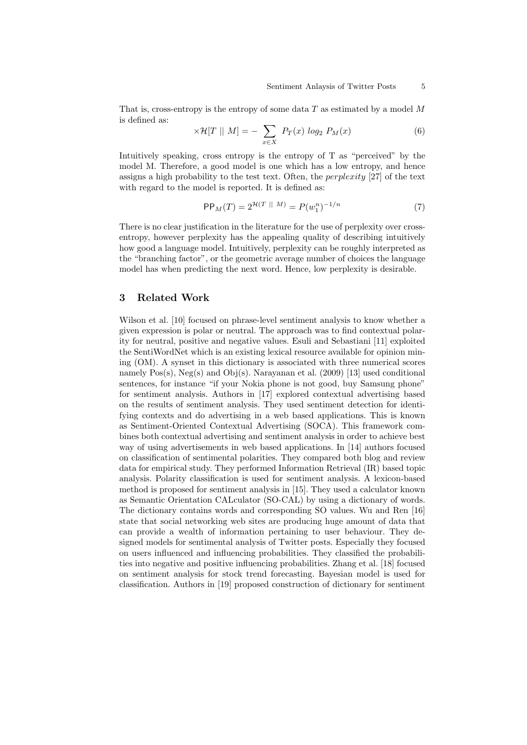That is, cross-entropy is the entropy of some data  $T$  as estimated by a model  $M$ is defined as:

$$
\times \mathcal{H}[T \mid N] = -\sum_{x \in X} P_T(x) \log_2 P_M(x) \tag{6}
$$

Intuitively speaking, cross entropy is the entropy of T as "perceived" by the model M. Therefore, a good model is one which has a low entropy, and hence assigns a high probability to the test text. Often, the *perplexity* [27] of the text with regard to the model is reported. It is defined as:

$$
PP_M(T) = 2^{\mathcal{H}(T \parallel M)} = P(w_1^n)^{-1/n} \tag{7}
$$

There is no clear justification in the literature for the use of perplexity over crossentropy, however perplexity has the appealing quality of describing intuitively how good a language model. Intuitively, perplexity can be roughly interpreted as the "branching factor", or the geometric average number of choices the language model has when predicting the next word. Hence, low perplexity is desirable.

### 3 Related Work

Wilson et al. [10] focused on phrase-level sentiment analysis to know whether a given expression is polar or neutral. The approach was to find contextual polarity for neutral, positive and negative values. Esuli and Sebastiani [11] exploited the SentiWordNet which is an existing lexical resource available for opinion mining (OM). A synset in this dictionary is associated with three numerical scores namely Pos(s), Neg(s) and Obj(s). Narayanan et al. (2009) [13] used conditional sentences, for instance "if your Nokia phone is not good, buy Samsung phone" for sentiment analysis. Authors in [17] explored contextual advertising based on the results of sentiment analysis. They used sentiment detection for identifying contexts and do advertising in a web based applications. This is known as Sentiment-Oriented Contextual Advertising (SOCA). This framework combines both contextual advertising and sentiment analysis in order to achieve best way of using advertisements in web based applications. In [14] authors focused on classification of sentimental polarities. They compared both blog and review data for empirical study. They performed Information Retrieval (IR) based topic analysis. Polarity classification is used for sentiment analysis. A lexicon-based method is proposed for sentiment analysis in [15]. They used a calculator known as Semantic Orientation CALculator (SO-CAL) by using a dictionary of words. The dictionary contains words and corresponding SO values. Wu and Ren [16] state that social networking web sites are producing huge amount of data that can provide a wealth of information pertaining to user behaviour. They designed models for sentimental analysis of Twitter posts. Especially they focused on users influenced and influencing probabilities. They classified the probabilities into negative and positive influencing probabilities. Zhang et al. [18] focused on sentiment analysis for stock trend forecasting. Bayesian model is used for classification. Authors in [19] proposed construction of dictionary for sentiment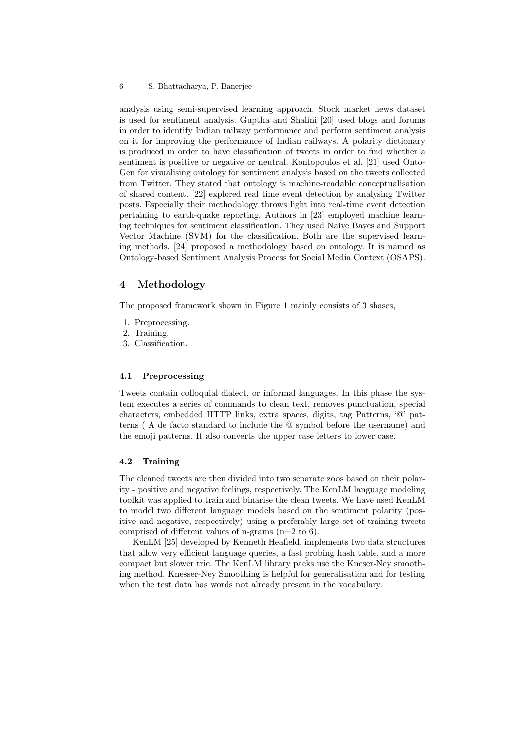analysis using semi-supervised learning approach. Stock market news dataset is used for sentiment analysis. Guptha and Shalini [20] used blogs and forums in order to identify Indian railway performance and perform sentiment analysis on it for improving the performance of Indian railways. A polarity dictionary is produced in order to have classification of tweets in order to find whether a sentiment is positive or negative or neutral. Kontopoulos et al. [21] used Onto-Gen for visualising ontology for sentiment analysis based on the tweets collected from Twitter. They stated that ontology is machine-readable conceptualisation of shared content. [22] explored real time event detection by analysing Twitter posts. Especially their methodology throws light into real-time event detection pertaining to earth-quake reporting. Authors in [23] employed machine learning techniques for sentiment classification. They used Naive Bayes and Support Vector Machine (SVM) for the classification. Both are the supervised learning methods. [24] proposed a methodology based on ontology. It is named as Ontology-based Sentiment Analysis Process for Social Media Context (OSAPS).

## 4 Methodology

The proposed framework shown in Figure 1 mainly consists of 3 shases,

- 1. Preprocessing.
- 2. Training.
- 3. Classification.

#### 4.1 Preprocessing

Tweets contain colloquial dialect, or informal languages. In this phase the system executes a series of commands to clean text, removes punctuation, special characters, embedded HTTP links, extra spaces, digits, tag Patterns, '@' patterns ( A de facto standard to include the @ symbol before the username) and the emoji patterns. It also converts the upper case letters to lower case.

## 4.2 Training

The cleaned tweets are then divided into two separate zoos based on their polarity - positive and negative feelings, respectively. The KenLM language modeling toolkit was applied to train and binarise the clean tweets. We have used KenLM to model two different language models based on the sentiment polarity (positive and negative, respectively) using a preferably large set of training tweets comprised of different values of n-grams  $(n=2 \text{ to } 6)$ .

KenLM [25] developed by Kenneth Heafield, implements two data structures that allow very efficient language queries, a fast probing hash table, and a more compact but slower trie. The KenLM library packs use the Kneser-Ney smoothing method. Knesser-Ney Smoothing is helpful for generalisation and for testing when the test data has words not already present in the vocabulary.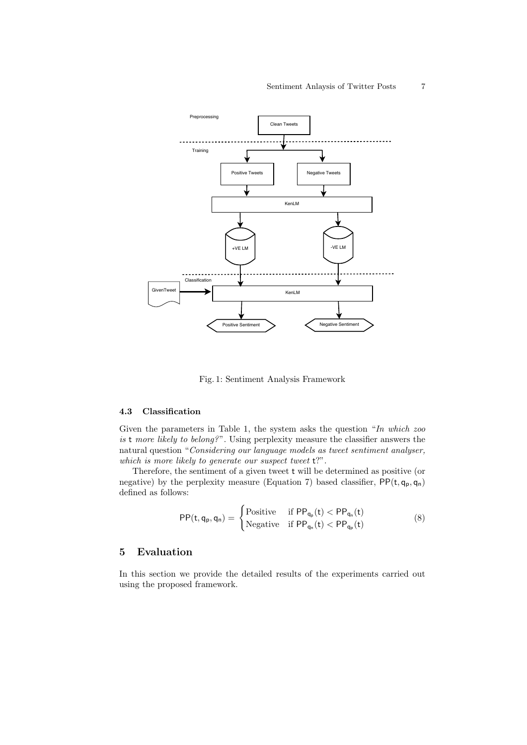#### Sentiment Anlaysis of Twitter Posts 7



Fig. 1: Sentiment Analysis Framework

# 4.3 Classification

Given the parameters in Table 1, the system asks the question "In which zoo is t more likely to belong?". Using perplexity measure the classifier answers the natural question "Considering our language models as tweet sentiment analyser, which is more likely to generate our suspect tweet  $t$ ?".

Therefore, the sentiment of a given tweet t will be determined as positive (or negative) by the perplexity measure (Equation 7) based classifier,  $PP(t, q_p, q_n)$ defined as follows:

$$
PP(t,q_p,q_n) = \begin{cases} \text{Positive} & \text{if } PP_{q_p}(t) < PP_{q_n}(t) \\ \text{Negative} & \text{if } PP_{q_n}(t) < PP_{q_p}(t) \end{cases}
$$
(8)

# 5 Evaluation

In this section we provide the detailed results of the experiments carried out using the proposed framework.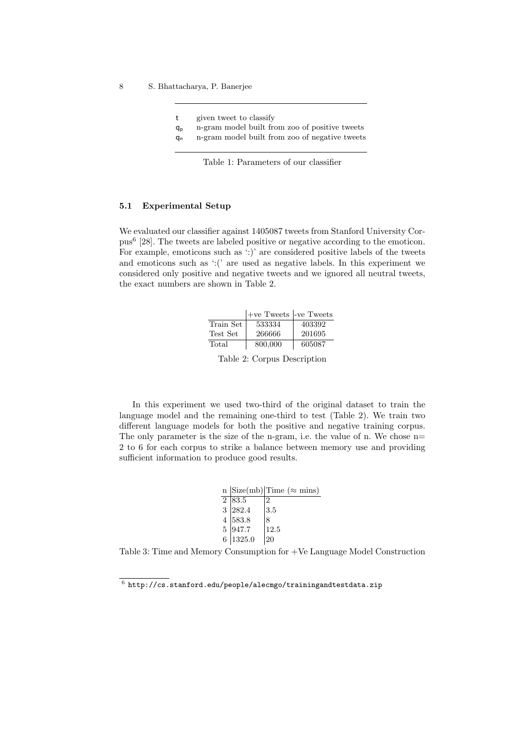8 S. Bhattacharya, P. Banerjee

- t given tweet to classify
- q<sup>p</sup> n-gram model built from zoo of positive tweets
- q<sup>n</sup> n-gram model built from zoo of negative tweets

Table 1: Parameters of our classifier

#### 5.1 Experimental Setup

We evaluated our classifier against 1405087 tweets from Stanford University Corpus<sup>6</sup> [28]. The tweets are labeled positive or negative according to the emoticon. For example, emoticons such as ':)' are considered positive labels of the tweets and emoticons such as ':(' are used as negative labels. In this experiment we considered only positive and negative tweets and we ignored all neutral tweets, the exact numbers are shown in Table 2.

|           | $ +ve$ Tweets $-ve$ Tweets |        |
|-----------|----------------------------|--------|
| Train Set | 533334                     | 403392 |
| Test Set  | 266666                     | 201695 |
| Total     | 800,000                    | 605087 |

Table 2: Corpus Description

In this experiment we used two-third of the original dataset to train the language model and the remaining one-third to test (Table 2). We train two different language models for both the positive and negative training corpus. The only parameter is the size of the n-gram, i.e. the value of n. We chose  $n=$ 2 to 6 for each corpus to strike a balance between memory use and providing sufficient information to produce good results.

|  |                     | n $ Size(mb) $ Time ( $\approx$ mins) |
|--|---------------------|---------------------------------------|
|  | $2 \overline{83.5}$ |                                       |
|  | 3 282.4             | 3.5                                   |
|  | 4 583.8             | 8                                     |
|  | 5 947.7             | 12.5                                  |
|  | 6 1325.0            | 20                                    |

Table 3: Time and Memory Consumption for +Ve Language Model Construction

 $^6$  http://cs.stanford.edu/people/alecmgo/trainingandtestdata.zip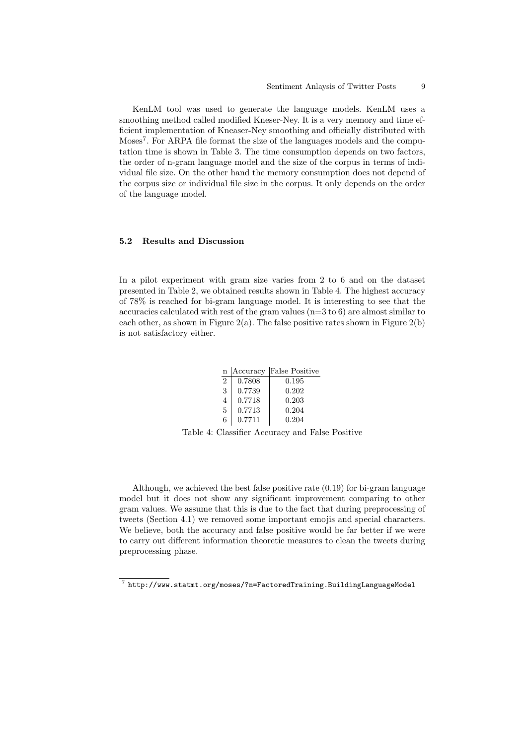KenLM tool was used to generate the language models. KenLM uses a smoothing method called modified Kneser-Ney. It is a very memory and time efficient implementation of Kneaser-Ney smoothing and officially distributed with Moses<sup>7</sup>. For ARPA file format the size of the languages models and the computation time is shown in Table 3. The time consumption depends on two factors, the order of n-gram language model and the size of the corpus in terms of individual file size. On the other hand the memory consumption does not depend of the corpus size or individual file size in the corpus. It only depends on the order of the language model.

#### 5.2 Results and Discussion

In a pilot experiment with gram size varies from 2 to 6 and on the dataset presented in Table 2, we obtained results shown in Table 4. The highest accuracy of 78% is reached for bi-gram language model. It is interesting to see that the accuracies calculated with rest of the gram values  $(n=3 \text{ to } 6)$  are almost similar to each other, as shown in Figure  $2(a)$ . The false positive rates shown in Figure  $2(b)$ is not satisfactory either.

| Accuracy | <b>False Positive</b> |
|----------|-----------------------|
| 0.7808   | 0.195                 |
| 0.7739   | 0.202                 |
| 0.7718   | 0.203                 |
| 0.7713   | 0.204                 |
| 0.7711   | 0.204                 |
|          |                       |

Table 4: Classifier Accuracy and False Positive

Although, we achieved the best false positive rate (0.19) for bi-gram language model but it does not show any significant improvement comparing to other gram values. We assume that this is due to the fact that during preprocessing of tweets (Section 4.1) we removed some important emojis and special characters. We believe, both the accuracy and false positive would be far better if we were to carry out different information theoretic measures to clean the tweets during preprocessing phase.

 $^7$  http://www.statmt.org/moses/?n=FactoredTraining.BuildingLanguageModel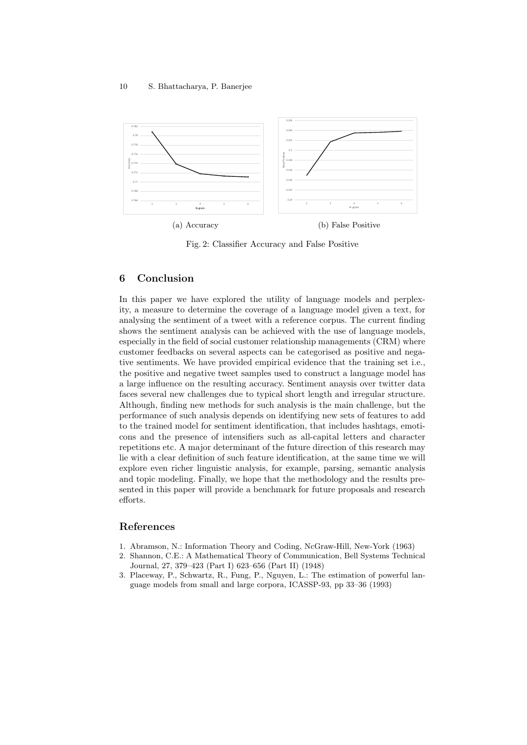

Fig. 2: Classifier Accuracy and False Positive

# 6 Conclusion

In this paper we have explored the utility of language models and perplexity, a measure to determine the coverage of a language model given a text, for analysing the sentiment of a tweet with a reference corpus. The current finding shows the sentiment analysis can be achieved with the use of language models, especially in the field of social customer relationship managements (CRM) where customer feedbacks on several aspects can be categorised as positive and negative sentiments. We have provided empirical evidence that the training set i.e., the positive and negative tweet samples used to construct a language model has a large influence on the resulting accuracy. Sentiment anaysis over twitter data faces several new challenges due to typical short length and irregular structure. Although, finding new methods for such analysis is the main challenge, but the performance of such analysis depends on identifying new sets of features to add to the trained model for sentiment identification, that includes hashtags, emoticons and the presence of intensifiers such as all-capital letters and character repetitions etc. A major determinant of the future direction of this research may lie with a clear definition of such feature identification, at the same time we will explore even richer linguistic analysis, for example, parsing, semantic analysis and topic modeling. Finally, we hope that the methodology and the results presented in this paper will provide a benchmark for future proposals and research efforts.

# References

- 1. Abramson, N.: Information Theory and Coding, NcGraw-Hill, New-York (1963)
- 2. Shannon, C.E.: A Mathematical Theory of Communication, Bell Systems Technical Journal, 27, 379–423 (Part I) 623–656 (Part II) (1948)
- 3. Placeway, P., Schwartz, R., Fung, P., Nguyen, L.: The estimation of powerful language models from small and large corpora, ICASSP-93, pp 33–36 (1993)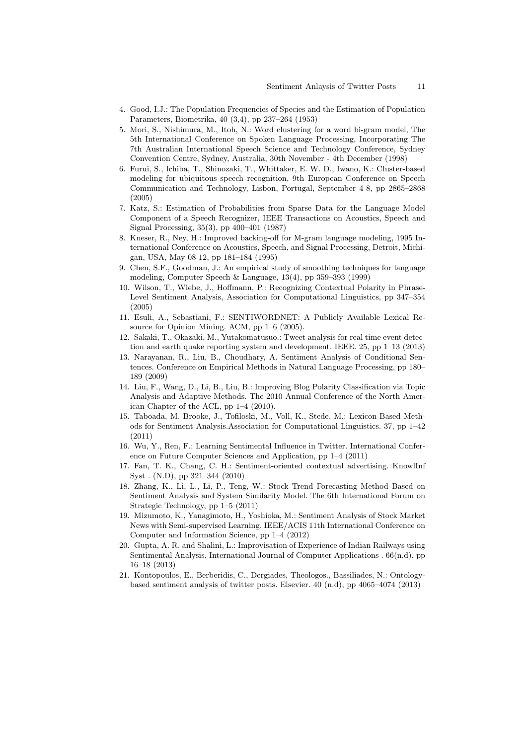- 4. Good, I.J.: The Population Frequencies of Species and the Estimation of Population Parameters, Biometrika, 40 (3,4), pp 237–264 (1953)
- 5. Mori, S., Nishimura, M., Itoh, N.: Word clustering for a word bi-gram model, The 5th International Conference on Spoken Language Processing, Incorporating The 7th Australian International Speech Science and Technology Conference, Sydney Convention Centre, Sydney, Australia, 30th November - 4th December (1998)
- 6. Furui, S., Ichiba, T., Shinozaki, T., Whittaker, E. W. D., Iwano, K.: Cluster-based modeling for ubiquitous speech recognition, 9th European Conference on Speech Communication and Technology, Lisbon, Portugal, September 4-8, pp 2865–2868 (2005)
- 7. Katz, S.: Estimation of Probabilities from Sparse Data for the Language Model Component of a Speech Recognizer, IEEE Transactions on Acoustics, Speech and Signal Processing, 35(3), pp 400–401 (1987)
- 8. Kneser, R., Ney, H.: Improved backing-off for M-gram language modeling, 1995 International Conference on Acoustics, Speech, and Signal Processing, Detroit, Michigan, USA, May 08-12, pp 181–184 (1995)
- 9. Chen, S.F., Goodman, J.: An empirical study of smoothing techniques for language modeling, Computer Speech & Language, 13(4), pp 359–393 (1999)
- 10. Wilson, T., Wiebe, J., Hoffmann, P.: Recognizing Contextual Polarity in Phrase-Level Sentiment Analysis, Association for Computational Linguistics, pp 347–354 (2005)
- 11. Esuli, A., Sebastiani, F.: SENTIWORDNET: A Publicly Available Lexical Resource for Opinion Mining. ACM, pp 1–6 (2005).
- 12. Sakaki, T., Okazaki, M., Yutakomatusuo.: Tweet analysis for real time event detection and earth quake reporting system and development. IEEE. 25, pp 1–13 (2013)
- 13. Narayanan, R., Liu, B., Choudhary, A. Sentiment Analysis of Conditional Sentences. Conference on Empirical Methods in Natural Language Processing, pp 180– 189 (2009)
- 14. Liu, F., Wang, D., Li, B., Liu, B.: Improving Blog Polarity Classification via Topic Analysis and Adaptive Methods. The 2010 Annual Conference of the North American Chapter of the ACL, pp 1–4 (2010).
- 15. Taboada, M. Brooke, J., Tofiloski, M., Voll, K., Stede, M.: Lexicon-Based Methods for Sentiment Analysis.Association for Computational Linguistics. 37, pp 1–42 (2011)
- 16. Wu, Y., Ren, F.: Learning Sentimental Influence in Twitter. International Conference on Future Computer Sciences and Application, pp 1–4 (2011)
- 17. Fan, T. K., Chang, C. H.: Sentiment-oriented contextual advertising. KnowlInf Syst . (N.D), pp 321–344 (2010)
- 18. Zhang, K., Li, L., Li, P., Teng, W.: Stock Trend Forecasting Method Based on Sentiment Analysis and System Similarity Model. The 6th International Forum on Strategic Technology, pp 1–5 (2011)
- 19. Mizumoto, K., Yanagimoto, H., Yoshioka, M.: Sentiment Analysis of Stock Market News with Semi-supervised Learning. IEEE/ACIS 11th International Conference on Computer and Information Science, pp 1–4 (2012)
- 20. Gupta, A. R. and Shalini, L.: Improvisation of Experience of Indian Railways using Sentimental Analysis. International Journal of Computer Applications . 66(n.d), pp 16–18 (2013)
- 21. Kontopoulos, E., Berberidis, C., Dergiades, Theologos., Bassiliades, N.: Ontologybased sentiment analysis of twitter posts. Elsevier. 40 (n.d), pp 4065–4074 (2013)